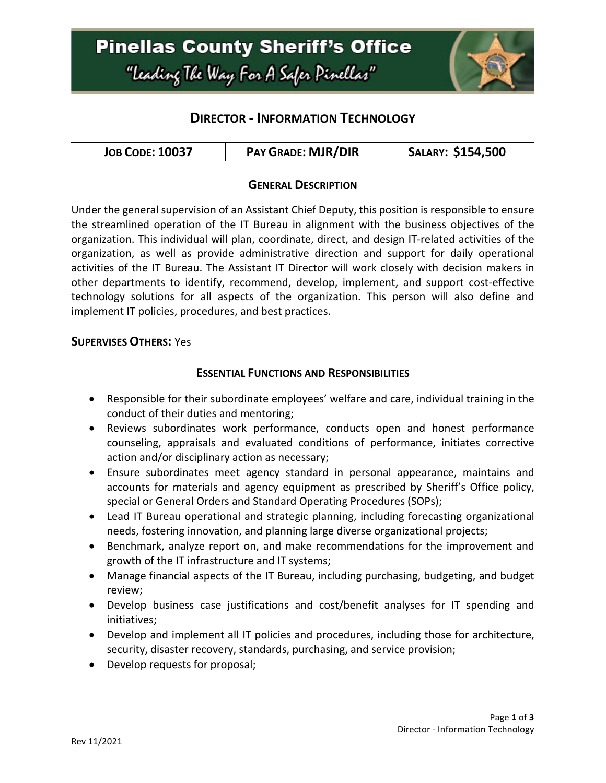# **Pinellas County Sheriff's Office** "Leading The Way For A Safer Pinellar"



# **DIRECTOR - INFORMATION TECHNOLOGY**

| <b>JOB CODE: 10037</b> | <b>PAY GRADE: MJR/DIR</b> | SALARY: \$154,500 |
|------------------------|---------------------------|-------------------|
|------------------------|---------------------------|-------------------|

# **GENERAL DESCRIPTION**

Under the general supervision of an Assistant Chief Deputy, this position is responsible to ensure the streamlined operation of the IT Bureau in alignment with the business objectives of the organization. This individual will plan, coordinate, direct, and design IT-related activities of the organization, as well as provide administrative direction and support for daily operational activities of the IT Bureau. The Assistant IT Director will work closely with decision makers in other departments to identify, recommend, develop, implement, and support cost-effective technology solutions for all aspects of the organization. This person will also define and implement IT policies, procedures, and best practices.

#### **SUPERVISES OTHERS:** Yes

#### **ESSENTIAL FUNCTIONS AND RESPONSIBILITIES**

- Responsible for their subordinate employees' welfare and care, individual training in the conduct of their duties and mentoring;
- Reviews subordinates work performance, conducts open and honest performance counseling, appraisals and evaluated conditions of performance, initiates corrective action and/or disciplinary action as necessary;
- Ensure subordinates meet agency standard in personal appearance, maintains and accounts for materials and agency equipment as prescribed by Sheriff's Office policy, special or General Orders and Standard Operating Procedures (SOPs);
- Lead IT Bureau operational and strategic planning, including forecasting organizational needs, fostering innovation, and planning large diverse organizational projects;
- Benchmark, analyze report on, and make recommendations for the improvement and growth of the IT infrastructure and IT systems;
- Manage financial aspects of the IT Bureau, including purchasing, budgeting, and budget review;
- Develop business case justifications and cost/benefit analyses for IT spending and initiatives;
- Develop and implement all IT policies and procedures, including those for architecture, security, disaster recovery, standards, purchasing, and service provision;
- Develop requests for proposal;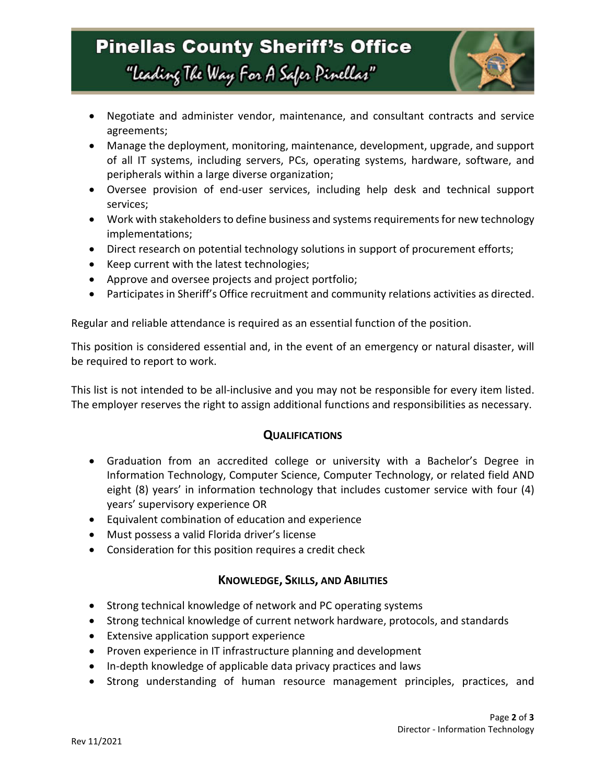# **Pinellas County Sheriff's Office** "Leading The Way For A Safer Pinellar"



- Negotiate and administer vendor, maintenance, and consultant contracts and service agreements;
- Manage the deployment, monitoring, maintenance, development, upgrade, and support of all IT systems, including servers, PCs, operating systems, hardware, software, and peripherals within a large diverse organization;
- Oversee provision of end-user services, including help desk and technical support services;
- Work with stakeholders to define business and systems requirements for new technology implementations;
- Direct research on potential technology solutions in support of procurement efforts;
- Keep current with the latest technologies;
- Approve and oversee projects and project portfolio;
- Participates in Sheriff's Office recruitment and community relations activities as directed.

Regular and reliable attendance is required as an essential function of the position.

This position is considered essential and, in the event of an emergency or natural disaster, will be required to report to work.

This list is not intended to be all-inclusive and you may not be responsible for every item listed. The employer reserves the right to assign additional functions and responsibilities as necessary.

## **QUALIFICATIONS**

- Graduation from an accredited college or university with a Bachelor's Degree in Information Technology, Computer Science, Computer Technology, or related field AND eight (8) years' in information technology that includes customer service with four (4) years' supervisory experience OR
- Equivalent combination of education and experience
- Must possess a valid Florida driver's license
- Consideration for this position requires a credit check

## **KNOWLEDGE, SKILLS, AND ABILITIES**

- Strong technical knowledge of network and PC operating systems
- Strong technical knowledge of current network hardware, protocols, and standards
- Extensive application support experience
- Proven experience in IT infrastructure planning and development
- In-depth knowledge of applicable data privacy practices and laws
- Strong understanding of human resource management principles, practices, and